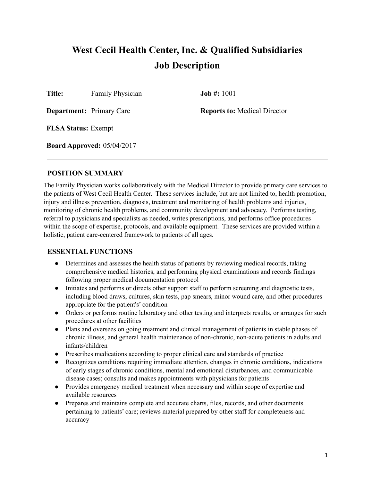# **West Cecil Health Center, Inc. & Qualified Subsidiaries Job Description**

**Title:** Family Physician **Job #:** 1001

**Department:** Primary Care **Reports to:** Medical Director

**FLSA Status:** Exempt

**Board Approved:** 05/04/2017

#### **POSITION SUMMARY**

The Family Physician works collaboratively with the Medical Director to provide primary care services to the patients of West Cecil Health Center. These services include, but are not limited to, health promotion, injury and illness prevention, diagnosis, treatment and monitoring of health problems and injuries, monitoring of chronic health problems, and community development and advocacy. Performs testing, referral to physicians and specialists as needed, writes prescriptions, and performs office procedures within the scope of expertise, protocols, and available equipment. These services are provided within a holistic, patient care-centered framework to patients of all ages.

#### **ESSENTIAL FUNCTIONS**

- Determines and assesses the health status of patients by reviewing medical records, taking comprehensive medical histories, and performing physical examinations and records findings following proper medical documentation protocol
- Initiates and performs or directs other support staff to perform screening and diagnostic tests, including blood draws, cultures, skin tests, pap smears, minor wound care, and other procedures appropriate for the patient's' condition
- Orders or performs routine laboratory and other testing and interprets results, or arranges for such procedures at other facilities
- Plans and oversees on going treatment and clinical management of patients in stable phases of chronic illness, and general health maintenance of non-chronic, non-acute patients in adults and infants/children
- Prescribes medications according to proper clinical care and standards of practice
- Recognizes conditions requiring immediate attention, changes in chronic conditions, indications of early stages of chronic conditions, mental and emotional disturbances, and communicable disease cases; consults and makes appointments with physicians for patients
- Provides emergency medical treatment when necessary and within scope of expertise and available resources
- Prepares and maintains complete and accurate charts, files, records, and other documents pertaining to patients' care; reviews material prepared by other staff for completeness and accuracy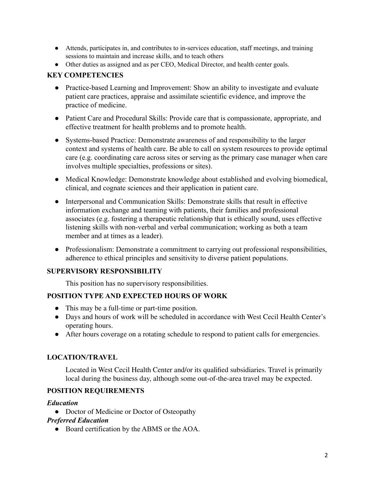- Attends, participates in, and contributes to in-services education, staff meetings, and training sessions to maintain and increase skills, and to teach others
- Other duties as assigned and as per CEO, Medical Director, and health center goals.

## **KEY COMPETENCIES**

- Practice-based Learning and Improvement: Show an ability to investigate and evaluate patient care practices, appraise and assimilate scientific evidence, and improve the practice of medicine.
- Patient Care and Procedural Skills: Provide care that is compassionate, appropriate, and effective treatment for health problems and to promote health.
- Systems-based Practice: Demonstrate awareness of and responsibility to the larger context and systems of health care. Be able to call on system resources to provide optimal care (e.g. coordinating care across sites or serving as the primary case manager when care involves multiple specialties, professions or sites).
- Medical Knowledge: Demonstrate knowledge about established and evolving biomedical, clinical, and cognate sciences and their application in patient care.
- Interpersonal and Communication Skills: Demonstrate skills that result in effective information exchange and teaming with patients, their families and professional associates (e.g. fostering a therapeutic relationship that is ethically sound, uses effective listening skills with non-verbal and verbal communication; working as both a team member and at times as a leader).
- Professionalism: Demonstrate a commitment to carrying out professional responsibilities, adherence to ethical principles and sensitivity to diverse patient populations.

#### **SUPERVISORY RESPONSIBILITY**

This position has no supervisory responsibilities.

## **POSITION TYPE AND EXPECTED HOURS OF WORK**

- This may be a full-time or part-time position.
- Days and hours of work will be scheduled in accordance with West Cecil Health Center's operating hours.
- After hours coverage on a rotating schedule to respond to patient calls for emergencies.

## **LOCATION/TRAVEL**

Located in West Cecil Health Center and/or its qualified subsidiaries. Travel is primarily local during the business day, although some out-of-the-area travel may be expected.

## **POSITION REQUIREMENTS**

#### *Education*

• Doctor of Medicine or Doctor of Osteopathy

#### *Preferred Education*

● Board certification by the ABMS or the AOA.